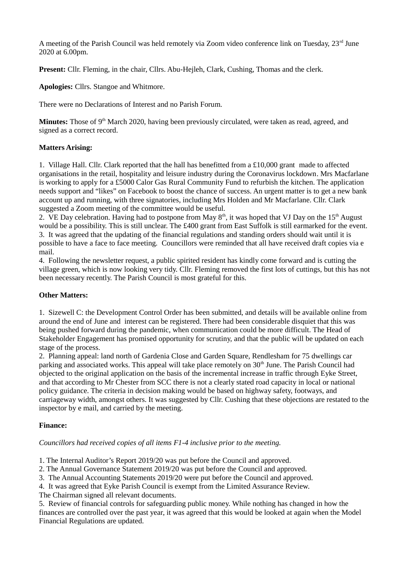A meeting of the Parish Council was held remotely via Zoom video conference link on Tuesday, 23<sup>rd</sup> June 2020 at 6.00pm.

**Present:** Cllr. Fleming, in the chair, Cllrs. Abu-Hejleh, Clark, Cushing, Thomas and the clerk.

**Apologies:** Cllrs. Stangoe and Whitmore.

There were no Declarations of Interest and no Parish Forum.

**Minutes:** Those of 9<sup>th</sup> March 2020, having been previously circulated, were taken as read, agreed, and signed as a correct record.

# **Matters Arising:**

1. Village Hall. Cllr. Clark reported that the hall has benefitted from a £10,000 grant made to affected organisations in the retail, hospitality and leisure industry during the Coronavirus lockdown. Mrs Macfarlane is working to apply for a £5000 Calor Gas Rural Community Fund to refurbish the kitchen. The application needs support and "likes" on Facebook to boost the chance of success. An urgent matter is to get a new bank account up and running, with three signatories, including Mrs Holden and Mr Macfarlane. Cllr. Clark suggested a Zoom meeting of the committee would be useful.

2. VE Day celebration. Having had to postpone from May  $8<sup>th</sup>$ , it was hoped that VJ Day on the 15<sup>th</sup> August would be a possibility. This is still unclear. The £400 grant from East Suffolk is still earmarked for the event. 3. It was agreed that the updating of the financial regulations and standing orders should wait until it is possible to have a face to face meeting. Councillors were reminded that all have received draft copies via e mail.

4. Following the newsletter request, a public spirited resident has kindly come forward and is cutting the village green, which is now looking very tidy. Cllr. Fleming removed the first lots of cuttings, but this has not been necessary recently. The Parish Council is most grateful for this.

## **Other Matters:**

1. Sizewell C: the Development Control Order has been submitted, and details will be available online from around the end of June and interest can be registered. There had been considerable disquiet that this was being pushed forward during the pandemic, when communication could be more difficult. The Head of Stakeholder Engagement has promised opportunity for scrutiny, and that the public will be updated on each stage of the process.

2. Planning appeal: land north of Gardenia Close and Garden Square, Rendlesham for 75 dwellings car parking and associated works. This appeal will take place remotely on 30<sup>th</sup> June. The Parish Council had objected to the original application on the basis of the incremental increase in traffic through Eyke Street, and that according to Mr Chester from SCC there is not a clearly stated road capacity in local or national policy guidance. The criteria in decision making would be based on highway safety, footways, and carriageway width, amongst others. It was suggested by Cllr. Cushing that these objections are restated to the inspector by e mail, and carried by the meeting.

## **Finance:**

*Councillors had received copies of all items F1-4 inclusive prior to the meeting.*

1. The Internal Auditor's Report 2019/20 was put before the Council and approved.

2. The Annual Governance Statement 2019/20 was put before the Council and approved.

3. The Annual Accounting Statements 2019/20 were put before the Council and approved.

4. It was agreed that Eyke Parish Council is exempt from the Limited Assurance Review.

The Chairman signed all relevant documents.

5. Review of financial controls for safeguarding public money. While nothing has changed in how the finances are controlled over the past year, it was agreed that this would be looked at again when the Model Financial Regulations are updated.